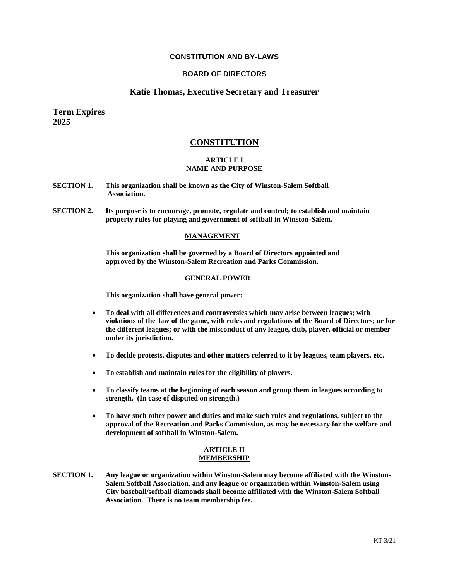# **CONSTITUTION AND BY-LAWS**

# **BOARD OF DIRECTORS**

# **Katie Thomas, Executive Secretary and Treasurer**

**Term Expires 2025**

# **CONSTITUTION**

# **ARTICLE I NAME AND PURPOSE**

- **SECTION 1. This organization shall be known as the City of Winston-Salem Softball Association.**
- **SECTION 2. Its purpose is to encourage, promote, regulate and control; to establish and maintain property rules for playing and government of softball in Winston-Salem.**

### **MANAGEMENT**

**This organization shall be governed by a Board of Directors appointed and approved by the Winston-Salem Recreation and Parks Commission.**

### **GENERAL POWER**

**This organization shall have general power:**

- **To deal with all differences and controversies which may arise between leagues; with violations of the law of the game, with rules and regulations of the Board of Directors; or for the different leagues; or with the misconduct of any league, club, player, official or member under its jurisdiction.**
- **To decide protests, disputes and other matters referred to it by leagues, team players, etc.**
- **To establish and maintain rules for the eligibility of players.**
- **To classify teams at the beginning of each season and group them in leagues according to strength. (In case of disputed on strength.)**
- **To have such other power and duties and make such rules and regulations, subject to the approval of the Recreation and Parks Commission, as may be necessary for the welfare and development of softball in Winston-Salem.**

#### **ARTICLE II MEMBERSHIP**

**SECTION 1. Any league or organization within Winston-Salem may become affiliated with the Winston-Salem Softball Association, and any league or organization within Winston-Salem using City baseball/softball diamonds shall become affiliated with the Winston-Salem Softball Association. There is no team membership fee.**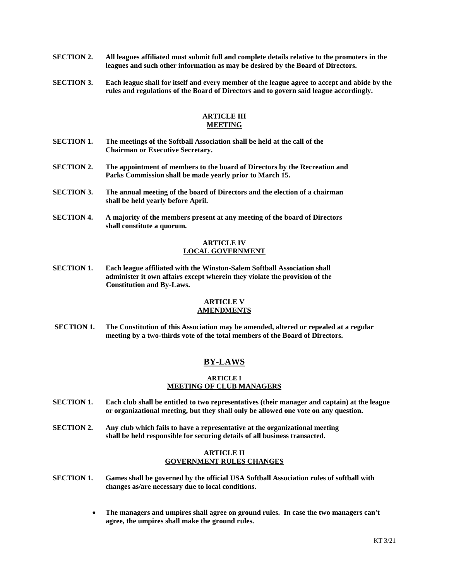- **SECTION 2. All leagues affiliated must submit full and complete details relative to the promoters in the leagues and such other information as may be desired by the Board of Directors.**
- **SECTION 3. Each league shall for itself and every member of the league agree to accept and abide by the rules and regulations of the Board of Directors and to govern said league accordingly.**

# **ARTICLE III MEETING**

- **SECTION 1. The meetings of the Softball Association shall be held at the call of the Chairman or Executive Secretary.**
- **SECTION 2. The appointment of members to the board of Directors by the Recreation and Parks Commission shall be made yearly prior to March 15.**
- **SECTION 3. The annual meeting of the board of Directors and the election of a chairman shall be held yearly before April.**
- **SECTION 4. A majority of the members present at any meeting of the board of Directors shall constitute a quorum.**

# **ARTICLE IV LOCAL GOVERNMENT**

**SECTION 1. Each league affiliated with the Winston-Salem Softball Association shall administer it own affairs except wherein they violate the provision of the Constitution and By-Laws.**

### **ARTICLE V AMENDMENTS**

**SECTION 1. The Constitution of this Association may be amended, altered or repealed at a regular meeting by a two-thirds vote of the total members of the Board of Directors.**

# **BY-LAWS**

### **ARTICLE I MEETING OF CLUB MANAGERS**

- **SECTION 1. Each club shall be entitled to two representatives (their manager and captain) at the league or organizational meeting, but they shall only be allowed one vote on any question.**
- **SECTION 2. Any club which fails to have a representative at the organizational meeting shall be held responsible for securing details of all business transacted.**

# **ARTICLE II GOVERNMENT RULES CHANGES**

- **SECTION 1. Games shall be governed by the official USA Softball Association rules of softball with changes as/are necessary due to local conditions.** 
	- **The managers and umpires shall agree on ground rules. In case the two managers can't agree, the umpires shall make the ground rules.**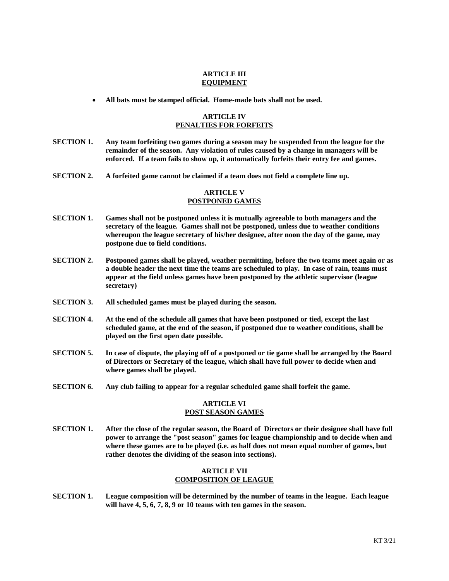#### **ARTICLE III EQUIPMENT**

**All bats must be stamped official. Home-made bats shall not be used.**

# **ARTICLE IV PENALTIES FOR FORFEITS**

- **SECTION 1. Any team forfeiting two games during a season may be suspended from the league for the remainder of the season. Any violation of rules caused by a change in managers will be enforced. If a team fails to show up, it automatically forfeits their entry fee and games.**
- **SECTION 2. A forfeited game cannot be claimed if a team does not field a complete line up.**

# **ARTICLE V POSTPONED GAMES**

- **SECTION 1. Games shall not be postponed unless it is mutually agreeable to both managers and the secretary of the league. Games shall not be postponed, unless due to weather conditions whereupon the league secretary of his/her designee, after noon the day of the game, may postpone due to field conditions.**
- **SECTION 2. Postponed games shall be played, weather permitting, before the two teams meet again or as a double header the next time the teams are scheduled to play. In case of rain, teams must appear at the field unless games have been postponed by the athletic supervisor (league secretary)**
- **SECTION 3. All scheduled games must be played during the season.**
- **SECTION 4. At the end of the schedule all games that have been postponed or tied, except the last scheduled game, at the end of the season, if postponed due to weather conditions, shall be played on the first open date possible.**
- **SECTION 5. In case of dispute, the playing off of a postponed or tie game shall be arranged by the Board of Directors or Secretary of the league, which shall have full power to decide when and where games shall be played.**
- **SECTION 6. Any club failing to appear for a regular scheduled game shall forfeit the game.**

## **ARTICLE VI POST SEASON GAMES**

**SECTION 1. After the close of the regular season, the Board of Directors or their designee shall have full power to arrange the "post season" games for league championship and to decide when and where these games are to be played (i.e. as half does not mean equal number of games, but rather denotes the dividing of the season into sections).**

# **ARTICLE VII COMPOSITION OF LEAGUE**

**SECTION 1. League composition will be determined by the number of teams in the league. Each league will have 4, 5, 6, 7, 8, 9 or 10 teams with ten games in the season.**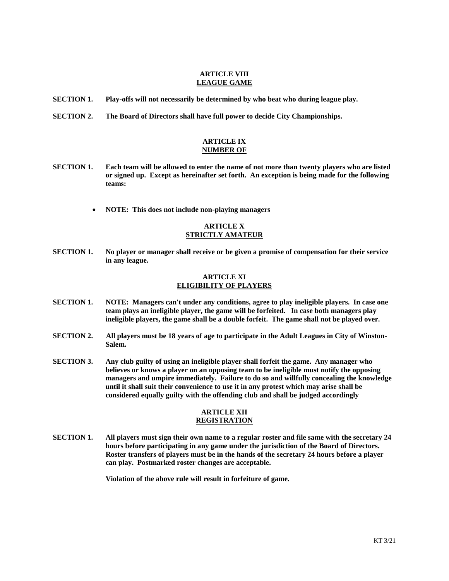#### **ARTICLE VIII LEAGUE GAME**

- **SECTION 1. Play-offs will not necessarily be determined by who beat who during league play.**
- **SECTION 2. The Board of Directors shall have full power to decide City Championships.**

# **ARTICLE IX NUMBER OF**

- **SECTION 1. Each team will be allowed to enter the name of not more than twenty players who are listed or signed up. Except as hereinafter set forth. An exception is being made for the following teams:**
	- **NOTE: This does not include non-playing managers**

# **ARTICLE X STRICTLY AMATEUR**

**SECTION 1. No player or manager shall receive or be given a promise of compensation for their service in any league.**

### **ARTICLE XI ELIGIBILITY OF PLAYERS**

- **SECTION 1. NOTE: Managers can't under any conditions, agree to play ineligible players. In case one team plays an ineligible player, the game will be forfeited. In case both managers play ineligible players, the game shall be a double forfeit. The game shall not be played over.**
- **SECTION 2. All players must be 18 years of age to participate in the Adult Leagues in City of Winston-Salem.**
- **SECTION 3. Any club guilty of using an ineligible player shall forfeit the game. Any manager who believes or knows a player on an opposing team to be ineligible must notify the opposing managers and umpire immediately. Failure to do so and willfully concealing the knowledge until it shall suit their convenience to use it in any protest which may arise shall be considered equally guilty with the offending club and shall be judged accordingly**

### **ARTICLE XII REGISTRATION**

**SECTION 1. All players must sign their own name to a regular roster and file same with the secretary 24 hours before participating in any game under the jurisdiction of the Board of Directors. Roster transfers of players must be in the hands of the secretary 24 hours before a player can play. Postmarked roster changes are acceptable.**

**Violation of the above rule will result in forfeiture of game.**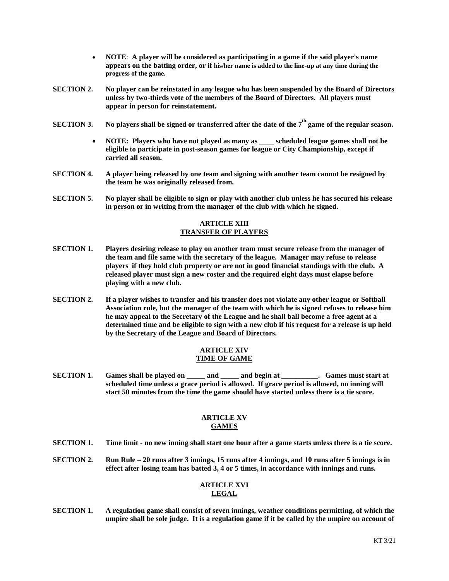- **NOTE**: **A player will be considered as participating in a game if the said player's name appears on the batting order, or if his/her name is added to the line-up at any time during the progress of the game.**
- **SECTION 2. No player can be reinstated in any league who has been suspended by the Board of Directors unless by two-thirds vote of the members of the Board of Directors. All players must appear in person for reinstatement.**
- $\bf SECTION 3.$   $\bf\color{red}{No}$  players shall be signed or transferred after the date of the  $7^{\rm th}$  game of the regular season.
	- **NOTE: Players who have not played as many as \_\_\_\_ scheduled league games shall not be eligible to participate in post-season games for league or City Championship, except if carried all season.**
- **SECTION 4. A player being released by one team and signing with another team cannot be resigned by the team he was originally released from.**
- **SECTION 5. No player shall be eligible to sign or play with another club unless he has secured his release in person or in writing from the manager of the club with which he signed.**

# **ARTICLE XIII TRANSFER OF PLAYERS**

- **SECTION 1. Players desiring release to play on another team must secure release from the manager of the team and file same with the secretary of the league. Manager may refuse to release players if they hold club property or are not in good financial standings with the club. A released player must sign a new roster and the required eight days must elapse before playing with a new club.**
- **SECTION 2. If a player wishes to transfer and his transfer does not violate any other league or Softball Association rule, but the manager of the team with which he is signed refuses to release him he may appeal to the Secretary of the League and he shall ball become a free agent at a determined time and be eligible to sign with a new club if his request for a release is up held by the Secretary of the League and Board of Directors.**

# **ARTICLE XIV TIME OF GAME**

**SECTION 1. Games shall be played on \_\_\_\_\_ and \_\_\_\_\_ and begin at \_\_\_\_\_\_\_\_\_\_. Games must start at scheduled time unless a grace period is allowed. If grace period is allowed, no inning will start 50 minutes from the time the game should have started unless there is a tie score.**

# **ARTICLE XV GAMES**

- **SECTION 1. Time limit - no new inning shall start one hour after a game starts unless there is a tie score.**
- **SECTION 2. Run Rule – 20 runs after 3 innings, 15 runs after 4 innings, and 10 runs after 5 innings is in effect after losing team has batted 3, 4 or 5 times, in accordance with innings and runs.**

# **ARTICLE XVI LEGAL**

**SECTION 1. A regulation game shall consist of seven innings, weather conditions permitting, of which the umpire shall be sole judge. It is a regulation game if it be called by the umpire on account of**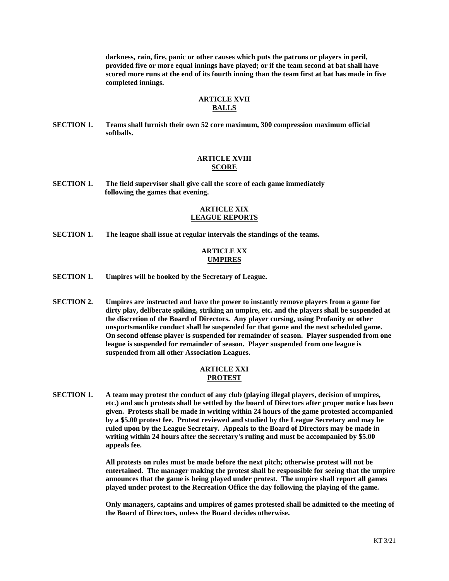**darkness, rain, fire, panic or other causes which puts the patrons or players in peril, provided five or more equal innings have played; or if the team second at bat shall have scored more runs at the end of its fourth inning than the team first at bat has made in five completed innings.**

### **ARTICLE XVII BALLS**

**SECTION 1. Teams shall furnish their own 52 core maximum, 300 compression maximum official softballs.** 

### **ARTICLE XVIII SCORE**

**SECTION 1. The field supervisor shall give call the score of each game immediately following the games that evening.**

### **ARTICLE XIX LEAGUE REPORTS**

**SECTION 1. The league shall issue at regular intervals the standings of the teams.**

## **ARTICLE XX UMPIRES**

- **SECTION 1. Umpires will be booked by the Secretary of League.**
- **SECTION 2. Umpires are instructed and have the power to instantly remove players from a game for dirty play, deliberate spiking, striking an umpire, etc. and the players shall be suspended at the discretion of the Board of Directors. Any player cursing, using Profanity or other unsportsmanlike conduct shall be suspended for that game and the next scheduled game. On second offense player is suspended for remainder of season. Player suspended from one league is suspended for remainder of season. Player suspended from one league is suspended from all other Association Leagues.**

### **ARTICLE XXI PROTEST**

**SECTION 1. A team may protest the conduct of any club (playing illegal players, decision of umpires, etc.) and such protests shall be settled by the board of Directors after proper notice has been given. Protests shall be made in writing within 24 hours of the game protested accompanied by a \$5.00 protest fee. Protest reviewed and studied by the League Secretary and may be ruled upon by the League Secretary. Appeals to the Board of Directors may be made in writing within 24 hours after the secretary's ruling and must be accompanied by \$5.00 appeals fee.**

> **All protests on rules must be made before the next pitch; otherwise protest will not be entertained. The manager making the protest shall be responsible for seeing that the umpire announces that the game is being played under protest. The umpire shall report all games played under protest to the Recreation Office the day following the playing of the game.**

> **Only managers, captains and umpires of games protested shall be admitted to the meeting of the Board of Directors, unless the Board decides otherwise.**